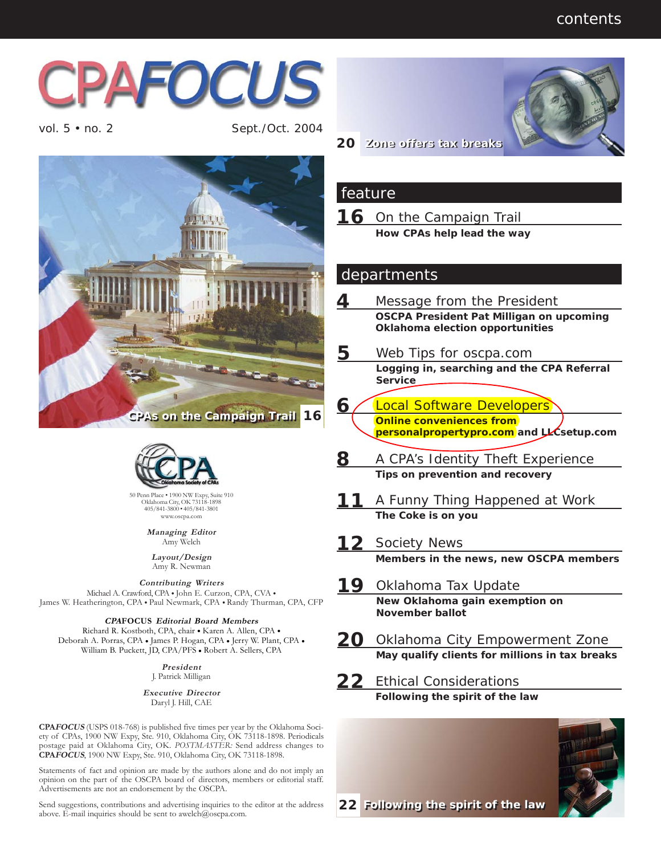

vol. 5 • no. 2 Sept./Oct. 2004





405/841-3800 • 405/841-3801 www.oscpa.com

> **Managing Editor** Amy Welch

**Layout/Design** Amy R. Newman

**Contributing Writers**<br>Michael A. Crawford, CPA • John E. Curzon, CPA, CVA • James W. Heatherington, CPA • Paul Newmark, CPA • Randy Thurman, CPA, CFP

## **CPAFOCUS Editorial Board Members**

Richard R. Kostboth, CPA, chair **•** Karen A. Allen, CPA **•** Deborah A. Porras, CPA **•** James P. Hogan, CPA **•** Jerry W. Plant, CPA **•** William B. Puckett, JD, CPA/PFS **•** Robert A. Sellers, CPA

> **President** J. Patrick Milligan

**Executive Director** Daryl J. Hill, CAE

**CPAFOCUS** (USPS 018-768) is published five times per year by the Oklahoma Society of CPAs, 1900 NW Expy, Ste. 910, Oklahoma City, OK 73118-1898. Periodicals postage paid at Oklahoma City, OK. *POSTMASTER:* Send address changes to **CPAFOCUS**, 1900 NW Expy, Ste. 910, Oklahoma City, OK 73118-1898.

Statements of fact and opinion are made by the authors alone and do not imply an opinion on the part of the OSCPA board of directors, members or editorial staff. Advertisements are not an endorsement by the OSCPA.

Send suggestions, contributions and advertising inquiries to the editor at the address above. E-mail inquiries should be sent to awelch@oscpa.com.



#### **20 Zone offers tax breaks Zone offers tax breaks**

### feature

**16** On the Campaign Trail **How CPAs help lead the way**

## departments

- **4** Message from the President **OSCPA President Pat Milligan on upcoming Oklahoma election opportunities**
- **5** Web Tips for oscpa.com
	- **Logging in, searching and the CPA Referral Service**
- **6** Local Software Developers **Online conveniences from personalpropertypro.com and LLCsetup.com**
- **8** A CPA's Identity Theft Experience
	- **Tips on prevention and recovery**
- **11** A Funny Thing Happened at Work **The Coke is on you**
- 12 Society News **Members in the news, new OSCPA members**
- **19** Oklahoma Tax Update **New Oklahoma gain exemption on November ballot**
- **20** Oklahoma City Empowerment Zone **May qualify clients for millions in tax breaks**

**22** Ethical Considerations **Following the spirit of the law**



**22 Following the spirit of the law Following the spirit of the law**